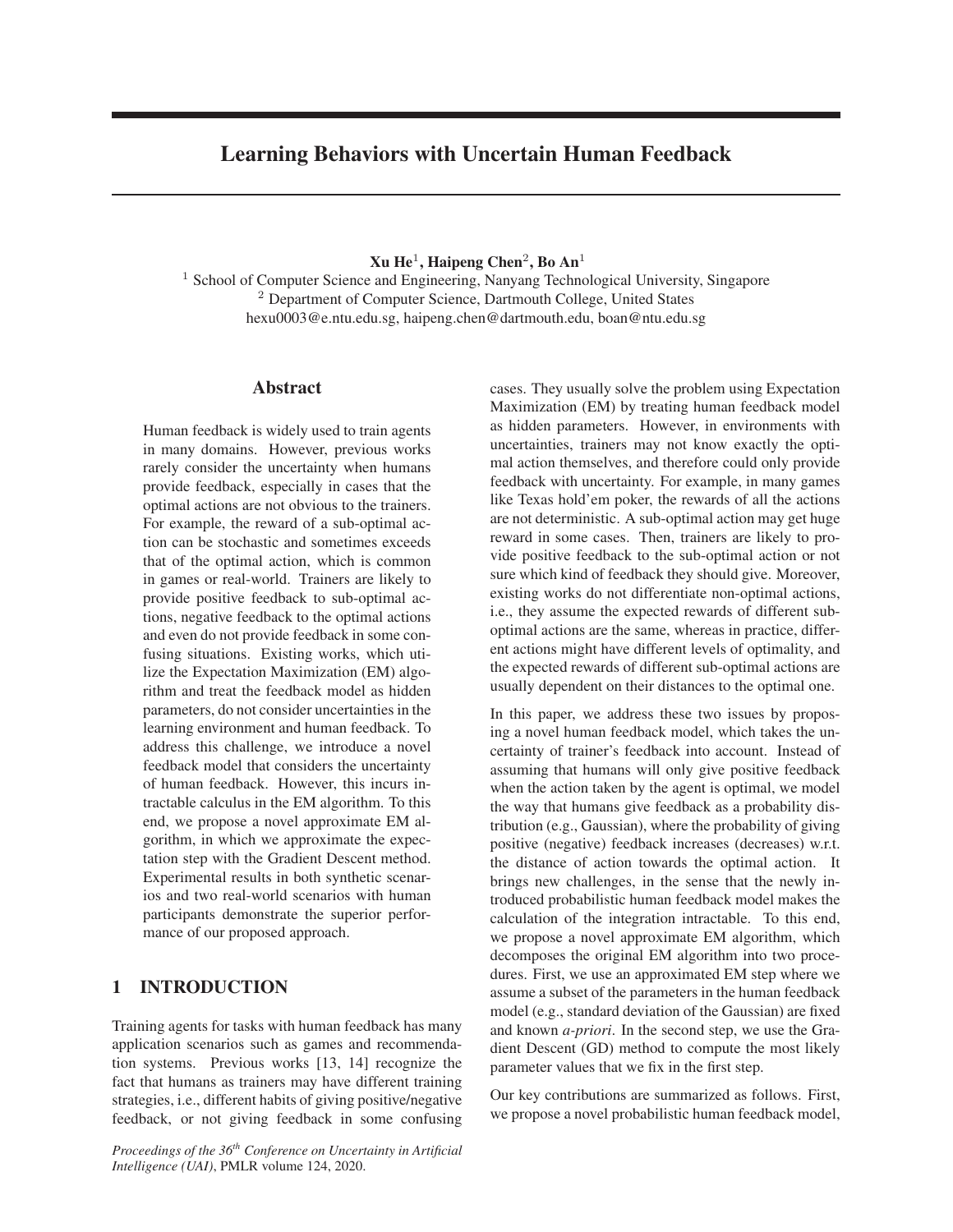# Learning Behaviors with Uncertain Human Feedback

 $Xu$  He<sup>1</sup>, Haipeng Chen<sup>2</sup>, Bo An<sup>1</sup>

<sup>1</sup> School of Computer Science and Engineering, Nanyang Technological University, Singapore <sup>2</sup> Department of Computer Science, Dartmouth College, United States hexu0003@e.ntu.edu.sg, haipeng.chen@dartmouth.edu, boan@ntu.edu.sg

## Abstract

Human feedback is widely used to train agents in many domains. However, previous works rarely consider the uncertainty when humans provide feedback, especially in cases that the optimal actions are not obvious to the trainers. For example, the reward of a sub-optimal action can be stochastic and sometimes exceeds that of the optimal action, which is common in games or real-world. Trainers are likely to provide positive feedback to sub-optimal actions, negative feedback to the optimal actions and even do not provide feedback in some confusing situations. Existing works, which utilize the Expectation Maximization (EM) algorithm and treat the feedback model as hidden parameters, do not consider uncertainties in the learning environment and human feedback. To address this challenge, we introduce a novel feedback model that considers the uncertainty of human feedback. However, this incurs intractable calculus in the EM algorithm. To this end, we propose a novel approximate EM algorithm, in which we approximate the expectation step with the Gradient Descent method. Experimental results in both synthetic scenarios and two real-world scenarios with human participants demonstrate the superior performance of our proposed approach.

# 1 INTRODUCTION

Training agents for tasks with human feedback has many application scenarios such as games and recommendation systems. Previous works [13, 14] recognize the fact that humans as trainers may have different training strategies, i.e., different habits of giving positive/negative feedback, or not giving feedback in some confusing

*Proceedings of the 36th Conference on Uncertainty in Artificial Intelligence (UAI)*, PMLR volume 124, 2020.

cases. They usually solve the problem using Expectation Maximization (EM) by treating human feedback model as hidden parameters. However, in environments with uncertainties, trainers may not know exactly the optimal action themselves, and therefore could only provide feedback with uncertainty. For example, in many games like Texas hold'em poker, the rewards of all the actions are not deterministic. A sub-optimal action may get huge reward in some cases. Then, trainers are likely to provide positive feedback to the sub-optimal action or not sure which kind of feedback they should give. Moreover, existing works do not differentiate non-optimal actions, i.e., they assume the expected rewards of different suboptimal actions are the same, whereas in practice, different actions might have different levels of optimality, and the expected rewards of different sub-optimal actions are usually dependent on their distances to the optimal one.

In this paper, we address these two issues by proposing a novel human feedback model, which takes the uncertainty of trainer's feedback into account. Instead of assuming that humans will only give positive feedback when the action taken by the agent is optimal, we model the way that humans give feedback as a probability distribution (e.g., Gaussian), where the probability of giving positive (negative) feedback increases (decreases) w.r.t. the distance of action towards the optimal action. It brings new challenges, in the sense that the newly introduced probabilistic human feedback model makes the calculation of the integration intractable. To this end, we propose a novel approximate EM algorithm, which decomposes the original EM algorithm into two procedures. First, we use an approximated EM step where we assume a subset of the parameters in the human feedback model (e.g., standard deviation of the Gaussian) are fixed and known *a-priori*. In the second step, we use the Gradient Descent (GD) method to compute the most likely parameter values that we fix in the first step.

Our key contributions are summarized as follows. First, we propose a novel probabilistic human feedback model,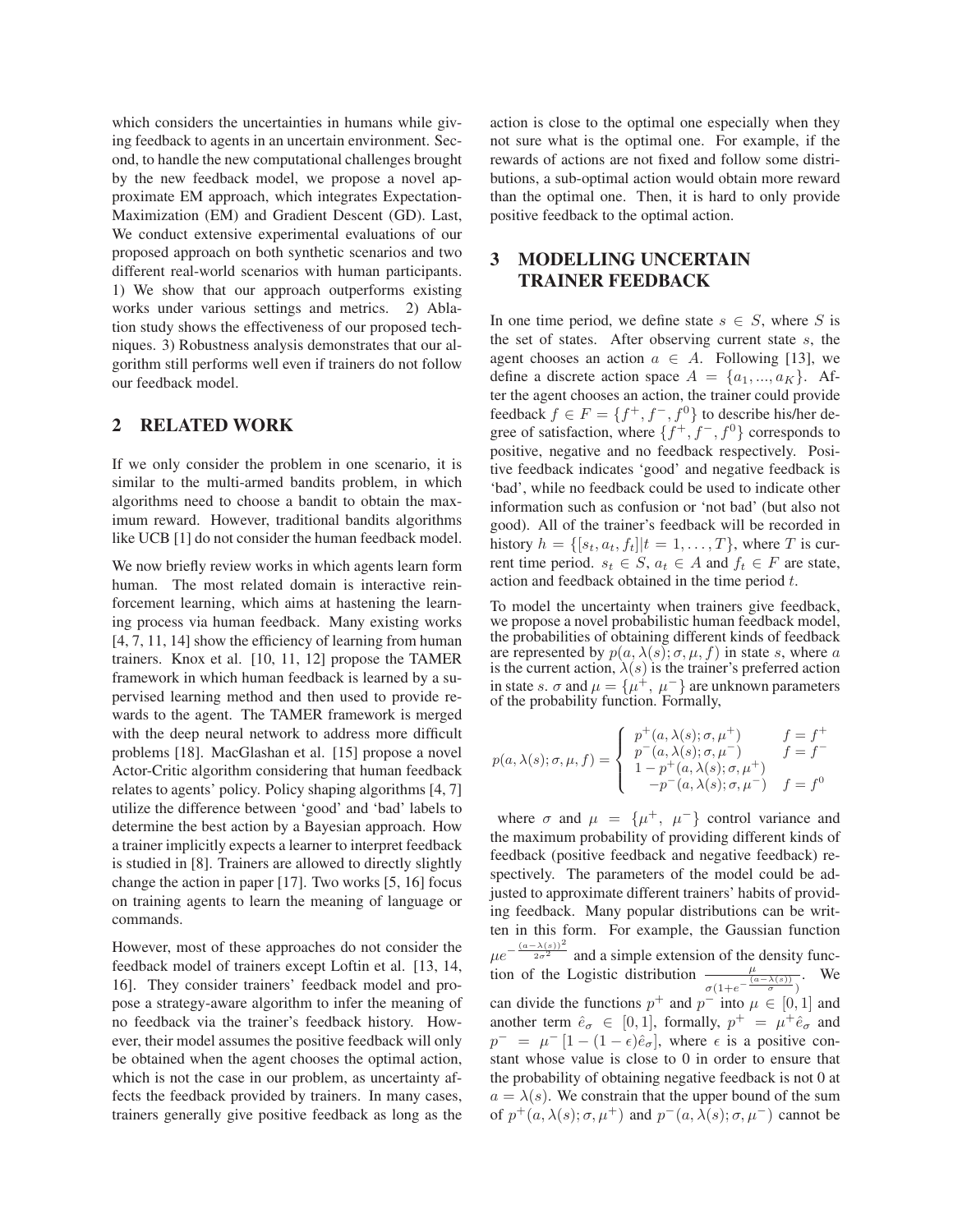which considers the uncertainties in humans while giving feedback to agents in an uncertain environment. Second, to handle the new computational challenges brought by the new feedback model, we propose a novel approximate EM approach, which integrates Expectation-Maximization (EM) and Gradient Descent (GD). Last, We conduct extensive experimental evaluations of our proposed approach on both synthetic scenarios and two different real-world scenarios with human participants. 1) We show that our approach outperforms existing works under various settings and metrics. 2) Ablation study shows the effectiveness of our proposed techniques. 3) Robustness analysis demonstrates that our algorithm still performs well even if trainers do not follow our feedback model.

### 2 RELATED WORK

If we only consider the problem in one scenario, it is similar to the multi-armed bandits problem, in which algorithms need to choose a bandit to obtain the maximum reward. However, traditional bandits algorithms like UCB [1] do not consider the human feedback model.

We now briefly review works in which agents learn form human. The most related domain is interactive reinforcement learning, which aims at hastening the learning process via human feedback. Many existing works [4, 7, 11, 14] show the efficiency of learning from human trainers. Knox et al. [10, 11, 12] propose the TAMER framework in which human feedback is learned by a supervised learning method and then used to provide rewards to the agent. The TAMER framework is merged with the deep neural network to address more difficult problems [18]. MacGlashan et al. [15] propose a novel Actor-Critic algorithm considering that human feedback relates to agents' policy. Policy shaping algorithms [4, 7] utilize the difference between 'good' and 'bad' labels to determine the best action by a Bayesian approach. How a trainer implicitly expects a learner to interpret feedback is studied in [8]. Trainers are allowed to directly slightly change the action in paper [17]. Two works [5, 16] focus on training agents to learn the meaning of language or commands.

However, most of these approaches do not consider the feedback model of trainers except Loftin et al. [13, 14, 16]. They consider trainers' feedback model and propose a strategy-aware algorithm to infer the meaning of no feedback via the trainer's feedback history. However, their model assumes the positive feedback will only be obtained when the agent chooses the optimal action, which is not the case in our problem, as uncertainty affects the feedback provided by trainers. In many cases, trainers generally give positive feedback as long as the action is close to the optimal one especially when they not sure what is the optimal one. For example, if the rewards of actions are not fixed and follow some distributions, a sub-optimal action would obtain more reward than the optimal one. Then, it is hard to only provide positive feedback to the optimal action.

# 3 MODELLING UNCERTAIN TRAINER FEEDBACK

In one time period, we define state  $s \in S$ , where S is the set of states. After observing current state s, the agent chooses an action  $a \in A$ . Following [13], we define a discrete action space  $A = \{a_1, ..., a_K\}$ . After the agent chooses an action, the trainer could provide feedback  $f \in F = \{f^+, f^-, f^0\}$  to describe his/her degree of satisfaction, where  $\{f^+, f^-, f^0\}$  corresponds to positive, negative and no feedback respectively. Positive feedback indicates 'good' and negative feedback is 'bad', while no feedback could be used to indicate other information such as confusion or 'not bad' (but also not good). All of the trainer's feedback will be recorded in history  $h = \{ [s_t, a_t, f_t] | t = 1, \ldots, T \}$ , where T is current time period.  $s_t \in S$ ,  $a_t \in A$  and  $f_t \in F$  are state, action and feedback obtained in the time period t.

To model the uncertainty when trainers give feedback, we propose a novel probabilistic human feedback model, the probabilities of obtaining different kinds of feedback are represented by  $p(a, \lambda(s); \sigma, \mu, f)$  in state s, where a is the current action,  $\lambda(s)$  is the trainer's preferred action in state s.  $\sigma$  and  $\mu = {\mu^+}, \mu^-$  are unknown parameters of the probability function. Formally,

$$
p(a,\lambda(s); \sigma, \mu, f) = \begin{cases} p^+(a,\lambda(s); \sigma, \mu^+) & f = f^+ \\ p^-(a,\lambda(s); \sigma, \mu^-) & f = f^- \\ 1 - p^+(a,\lambda(s); \sigma, \mu^+) & -p^-(a,\lambda(s); \sigma, \mu^-) & f = f^0 \end{cases}
$$

where  $\sigma$  and  $\mu = {\mu^+, \mu^-}$  control variance and the maximum probability of providing different kinds of feedback (positive feedback and negative feedback) respectively. The parameters of the model could be adjusted to approximate different trainers' habits of providing feedback. Many popular distributions can be written in this form. For example, the Gaussian function  $\mu e^{-\frac{(a-\lambda(s))^{2}}{2\sigma^{2}}}$  and a simple extension of the density function of the Logistic distribution  $\frac{\mu}{\sigma(1+e^{-\frac{(\alpha-\lambda(s))}{\sigma}})}$ . We can divide the functions  $p^+$  and  $p^-$  into  $\mu \in [0, 1]$  and another term  $\hat{e}_{\sigma} \in [0, 1]$ , formally,  $p^+ = \mu^+ \hat{e}_{\sigma}$  and  $p^{-} = \mu^{-} [1 - (1 - \epsilon)\hat{e}_{\sigma}],$  where  $\epsilon$  is a positive constant whose value is close to 0 in order to ensure that the probability of obtaining negative feedback is not 0 at  $a = \lambda(s)$ . We constrain that the upper bound of the sum of  $p^+(a, \lambda(s); \sigma, \mu^+)$  and  $p^-(a, \lambda(s); \sigma, \mu^-)$  cannot be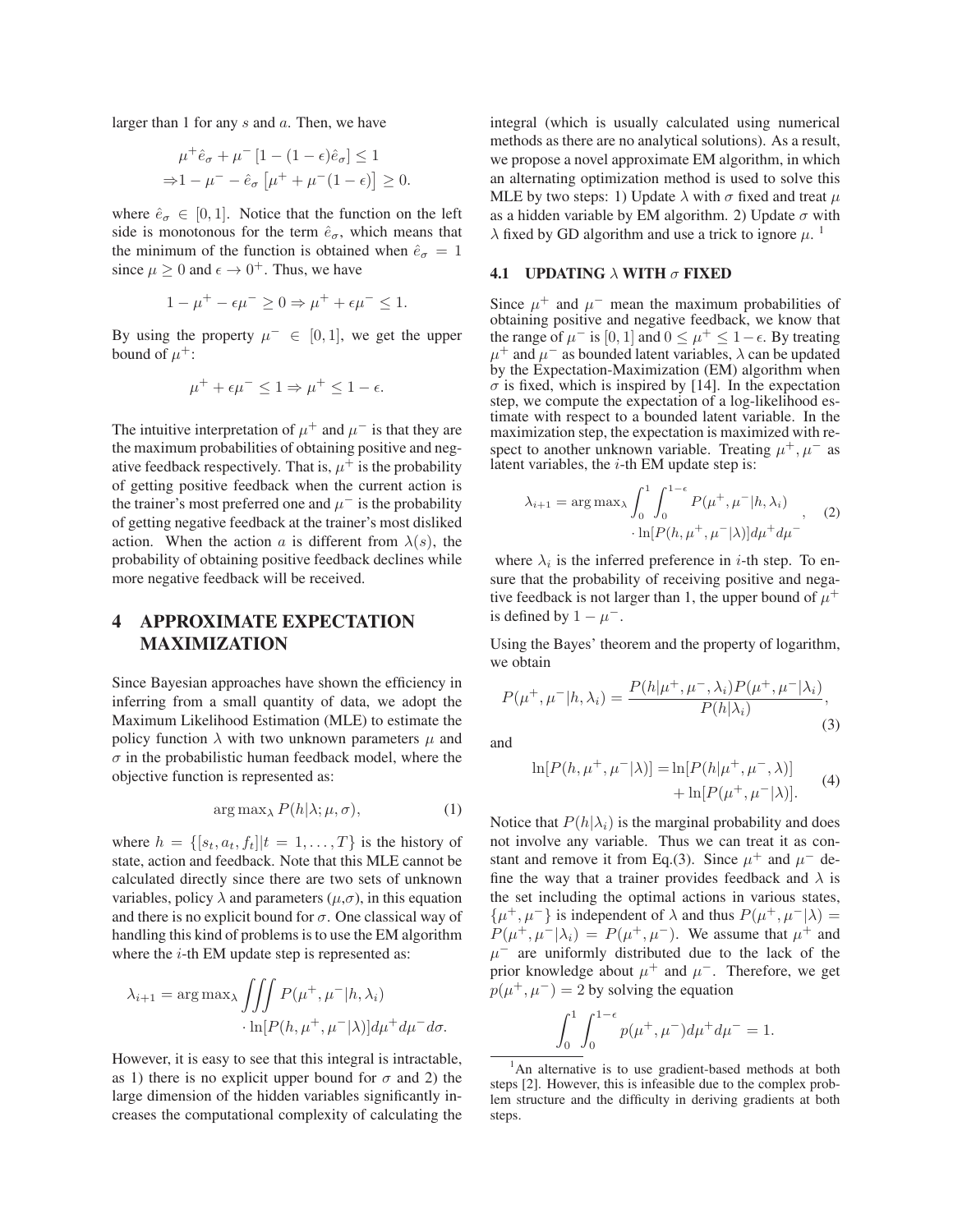larger than 1 for any s and a. Then, we have

$$
\mu^+ \hat{e}_\sigma + \mu^- [1 - (1 - \epsilon)\hat{e}_\sigma] \le 1
$$
  
\n
$$
\Rightarrow 1 - \mu^- - \hat{e}_\sigma \left[ \mu^+ + \mu^-(1 - \epsilon) \right] \ge 0.
$$

where  $\hat{e}_{\sigma} \in [0, 1]$ . Notice that the function on the left side is monotonous for the term  $\hat{e}_{\sigma}$ , which means that the minimum of the function is obtained when  $\hat{e}_{\sigma} = 1$ since  $\mu \geq 0$  and  $\epsilon \to 0^+$ . Thus, we have

$$
1 - \mu^+ - \epsilon \mu^- \ge 0 \Rightarrow \mu^+ + \epsilon \mu^- \le 1.
$$

By using the property  $\mu^- \in [0, 1]$ , we get the upper bound of  $\mu^+$ :

$$
\mu^+ + \epsilon \mu^- \le 1 \Rightarrow \mu^+ \le 1 - \epsilon.
$$

The intuitive interpretation of  $\mu^+$  and  $\mu^-$  is that they are the maximum probabilities of obtaining positive and negative feedback respectively. That is,  $\mu^+$  is the probability of getting positive feedback when the current action is the trainer's most preferred one and  $\mu^-$  is the probability of getting negative feedback at the trainer's most disliked action. When the action a is different from  $\lambda(s)$ , the probability of obtaining positive feedback declines while more negative feedback will be received.

# 4 APPROXIMATE EXPECTATION MAXIMIZATION

Since Bayesian approaches have shown the efficiency in inferring from a small quantity of data, we adopt the Maximum Likelihood Estimation (MLE) to estimate the policy function  $\lambda$  with two unknown parameters  $\mu$  and  $\sigma$  in the probabilistic human feedback model, where the objective function is represented as:

$$
\arg \max_{\lambda} P(h|\lambda; \mu, \sigma), \tag{1}
$$

where  $h = \{ [s_t, a_t, f_t] | t = 1, \ldots, T \}$  is the history of state, action and feedback. Note that this MLE cannot be calculated directly since there are two sets of unknown variables, policy  $\lambda$  and parameters ( $\mu$ , $\sigma$ ), in this equation and there is no explicit bound for  $\sigma$ . One classical way of handling this kind of problems is to use the EM algorithm where the  $i$ -th EM update step is represented as:

$$
\lambda_{i+1} = \arg \max_{\lambda} \iiint P(\mu^+, \mu^- | h, \lambda_i) \cdot \ln[P(h, \mu^+, \mu^- | \lambda)] d\mu^+ d\mu^- d\sigma.
$$

However, it is easy to see that this integral is intractable, as 1) there is no explicit upper bound for  $\sigma$  and 2) the large dimension of the hidden variables significantly increases the computational complexity of calculating the integral (which is usually calculated using numerical methods as there are no analytical solutions). As a result, we propose a novel approximate EM algorithm, in which an alternating optimization method is used to solve this MLE by two steps: 1) Update  $\lambda$  with  $\sigma$  fixed and treat  $\mu$ as a hidden variable by EM algorithm. 2) Update  $\sigma$  with  $\lambda$  fixed by GD algorithm and use a trick to ignore  $\mu$ .

### 4.1 UPDATING  $\lambda$  WITH  $\sigma$  FIXED

Since  $\mu^+$  and  $\mu^-$  mean the maximum probabilities of obtaining positive and negative feedback, we know that the range of  $\mu^-$  is [0, 1] and  $0 \le \mu^+ \le 1 - \epsilon$ . By treating  $\mu^+$  and  $\mu^-$  as bounded latent variables,  $\lambda$  can be updated by the Expectation-Maximization (EM) algorithm when  $\sigma$  is fixed, which is inspired by [14]. In the expectation step, we compute the expectation of a log-likelihood estimate with respect to a bounded latent variable. In the maximization step, the expectation is maximized with respect to another unknown variable. Treating  $\mu^+, \mu^-$  as latent variables, the  $i$ -th EM update step is:

$$
\lambda_{i+1} = \arg \max_{\lambda} \int_0^1 \int_0^{1-\epsilon} P(\mu^+, \mu^- | h, \lambda_i)
$$

$$
\cdot \ln[P(h, \mu^+, \mu^- | \lambda)] d\mu^+ d\mu^-
$$
 (2)

where  $\lambda_i$  is the inferred preference in *i*-th step. To ensure that the probability of receiving positive and negative feedback is not larger than 1, the upper bound of  $\mu^+$ is defined by  $1 - \mu^{-}$ .

Using the Bayes' theorem and the property of logarithm, we obtain

$$
P(\mu^+, \mu^- | h, \lambda_i) = \frac{P(h | \mu^+, \mu^-, \lambda_i) P(\mu^+, \mu^- | \lambda_i)}{P(h | \lambda_i)},
$$
\n(3)

and

$$
\ln[P(h, \mu^+, \mu^- | \lambda)] = \ln[P(h | \mu^+, \mu^-, \lambda)] + \ln[P(\mu^+, \mu^- | \lambda)].
$$
 (4)

Notice that  $P(h|\lambda_i)$  is the marginal probability and does not involve any variable. Thus we can treat it as constant and remove it from Eq.(3). Since  $\mu^+$  and  $\mu^-$  define the way that a trainer provides feedback and  $\lambda$  is the set including the optimal actions in various states,  $\{\mu^+, \mu^-\}$  is independent of  $\lambda$  and thus  $P(\mu^+, \mu^-|\lambda) =$  $P(\mu^+, \mu^-|\lambda_i) = P(\mu^+, \mu^-)$ . We assume that  $\mu^+$  and  $\mu^-$  are uniformly distributed due to the lack of the prior knowledge about  $\mu^+$  and  $\mu^-$ . Therefore, we get  $p(\mu^+, \mu^-)=2$  by solving the equation

$$
\int_0^1 \int_0^{1-\epsilon} p(\mu^+, \mu^-) d\mu^+ d\mu^- = 1.
$$

<sup>&</sup>lt;sup>1</sup>An alternative is to use gradient-based methods at both steps [2]. However, this is infeasible due to the complex problem structure and the difficulty in deriving gradients at both steps.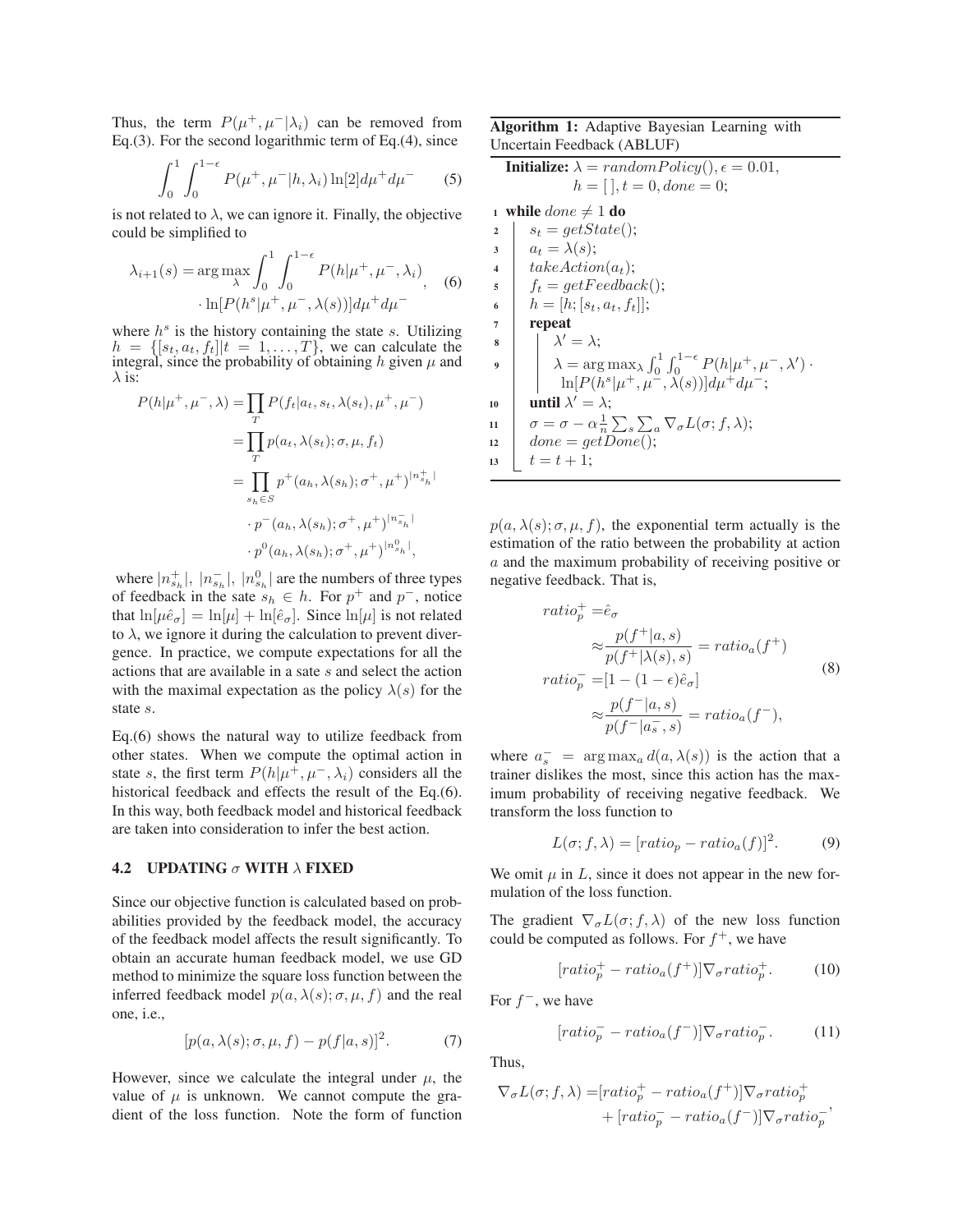Thus, the term  $P(\mu^+, \mu^-|\lambda_i)$  can be removed from Eq.(3). For the second logarithmic term of Eq.(4), since

$$
\int_0^1 \int_0^{1-\epsilon} P(\mu^+, \mu^- | h, \lambda_i) \ln[2] d\mu^+ d\mu^- \qquad (5)
$$

is not related to  $\lambda$ , we can ignore it. Finally, the objective could be simplified to

$$
\lambda_{i+1}(s) = \arg\max_{\lambda} \int_0^1 \int_0^{1-\epsilon} P(h|\mu^+, \mu^-, \lambda_i),
$$
  
 
$$
\cdot \ln[P(h^s|\mu^+, \mu^-, \lambda(s))] d\mu^+ d\mu^-
$$
 (6)

where  $h<sup>s</sup>$  is the history containing the state s. Utilizing  $h = \{ [s_t, a_t, f_t] | t = 1, \ldots, T \}$ , we can calculate the integral, since the probability of obtaining h given  $\mu$  and  $\lambda$  is:

$$
P(h|\mu^+, \mu^-, \lambda) = \prod_T P(f_t|a_t, s_t, \lambda(s_t), \mu^+, \mu^-)
$$
  
\n
$$
= \prod_T p(a_t, \lambda(s_t); \sigma, \mu, f_t)
$$
  
\n
$$
= \prod_{s_h \in S} p^+(a_h, \lambda(s_h); \sigma^+, \mu^+)^{|n_{s_h}^+|}
$$
  
\n
$$
\cdot p^-(a_h, \lambda(s_h); \sigma^+, \mu^+)^{|n_{s_h}^-|}
$$
  
\n
$$
\cdot p^0(a_h, \lambda(s_h); \sigma^+, \mu^+)^{|n_{s_h}^0|},
$$

where  $|n_{s_h}^+|$ ,  $|n_{s_h}^-|$ ,  $|n_{s_h}^0|$  are the numbers of three types of feedback in the sate  $s_h \in h$ . For  $p^+$  and  $p^-$ , notice that  $\ln[\mu \hat{e}_{\sigma}] = \ln[\mu] + \ln[\hat{e}_{\sigma}]$ . Since  $\ln[\mu]$  is not related to  $\lambda$ , we ignore it during the calculation to prevent divergence. In practice, we compute expectations for all the actions that are available in a sate s and select the action with the maximal expectation as the policy  $\lambda(s)$  for the state s.

Eq.(6) shows the natural way to utilize feedback from other states. When we compute the optimal action in state s, the first term  $P(h|\mu^+, \mu^-, \lambda_i)$  considers all the historical feedback and effects the result of the Eq.(6). In this way, both feedback model and historical feedback are taken into consideration to infer the best action.

#### **4.2 UPDATING**  $\sigma$  **WITH**  $\lambda$  **FIXED**

Since our objective function is calculated based on probabilities provided by the feedback model, the accuracy of the feedback model affects the result significantly. To obtain an accurate human feedback model, we use GD method to minimize the square loss function between the inferred feedback model  $p(a, \lambda(s); \sigma, \mu, f)$  and the real one, i.e.,

$$
[p(a,\lambda(s); \sigma, \mu, f) - p(f|a,s)]^2.
$$
 (7)

However, since we calculate the integral under  $\mu$ , the value of  $\mu$  is unknown. We cannot compute the gradient of the loss function. Note the form of function

Algorithm 1: Adaptive Bayesian Learning with Uncertain Feedback (ABLUF)

**Initialize:** 
$$
\lambda = randomPolicy(), \epsilon = 0.01,
$$
  
\n $h = [], t = 0, done = 0;$   
\n1 while  $done \neq 1$  do  
\n2  $s_t = getState()$ ;  
\n3  $a_t = \lambda(s);$   
\n*takeAction(a\_t);*  
\n5  $f_t = getFedback()$ ;  
\n6  $h = [h; [s_t, a_t, f_t]];$   
\n**repeat**  
\n8  $\lambda' = \lambda;$   
\n9  $\lambda = \arg \max_{\lambda} \int_0^1 \int_0^{1-\epsilon} P(h|\mu^+, \mu^-, \lambda') \cdot \ln[P(h^s|\mu^+, \mu^-, \lambda')) \cdot \ln[P(h^s|\mu^+, \mu^-, \lambda(s))] d\mu^+ d\mu^-,$   
\n10  $\text{until } \lambda' = \lambda;$   
\n11  $\sigma = \sigma - \alpha \frac{1}{n} \sum_s \sum_a \nabla_{\sigma} L(\sigma; f, \lambda);$   
\n12  $\phi = getDone();$   
\n13  $t = t + 1;$ 

 $p(a, \lambda(s); \sigma, \mu, f)$ , the exponential term actually is the estimation of the ratio between the probability at action a and the maximum probability of receiving positive or negative feedback. That is,

$$
ratio_p^+ = \hat{e}_{\sigma}
$$
  
\n
$$
\approx \frac{p(f^+|a,s)}{p(f^+|\lambda(s),s)} = ratio_a(f^+)
$$
  
\n
$$
ratio_p^- = [1 - (1 - \epsilon)\hat{e}_{\sigma}]
$$
  
\n
$$
\approx \frac{p(f^-|a,s)}{p(f^-|a_s^-,s)} = ratio_a(f^-),
$$
\n(8)

where  $a_s^-$  = arg max<sub>a</sub>  $d(a, \lambda(s))$  is the action that a<br>trainer dislikes the most since this action has the maxtrainer dislikes the most, since this action has the maximum probability of receiving negative feedback. We transform the loss function to

$$
L(\sigma; f, \lambda) = [ratio_p - ratio_a(f)]^2.
$$
 (9)

We omit  $\mu$  in L, since it does not appear in the new formulation of the loss function.

The gradient  $\nabla_{\sigma}L(\sigma; f, \lambda)$  of the new loss function could be computed as follows. For  $f^+$ , we have

$$
[ratio_p^+ - ratio_a(f^+)] \nabla_{\sigma} ratio_p^+. \qquad (10)
$$

For  $f^-$ , we have

$$
[ratio_p^- - ratio_a(f^-)] \nabla_{\sigma} ratio_p^-.
$$
 (11)

Thus,

$$
\nabla_{\sigma}L(\sigma; f, \lambda) = [ratio_{p}^{+} - ratio_{a}(f^{+})] \nabla_{\sigma} ratio_{p}^{+}
$$

$$
+ [ratio_{p}^{-} - ratio_{a}(f^{-})] \nabla_{\sigma} ratio_{p}^{-},
$$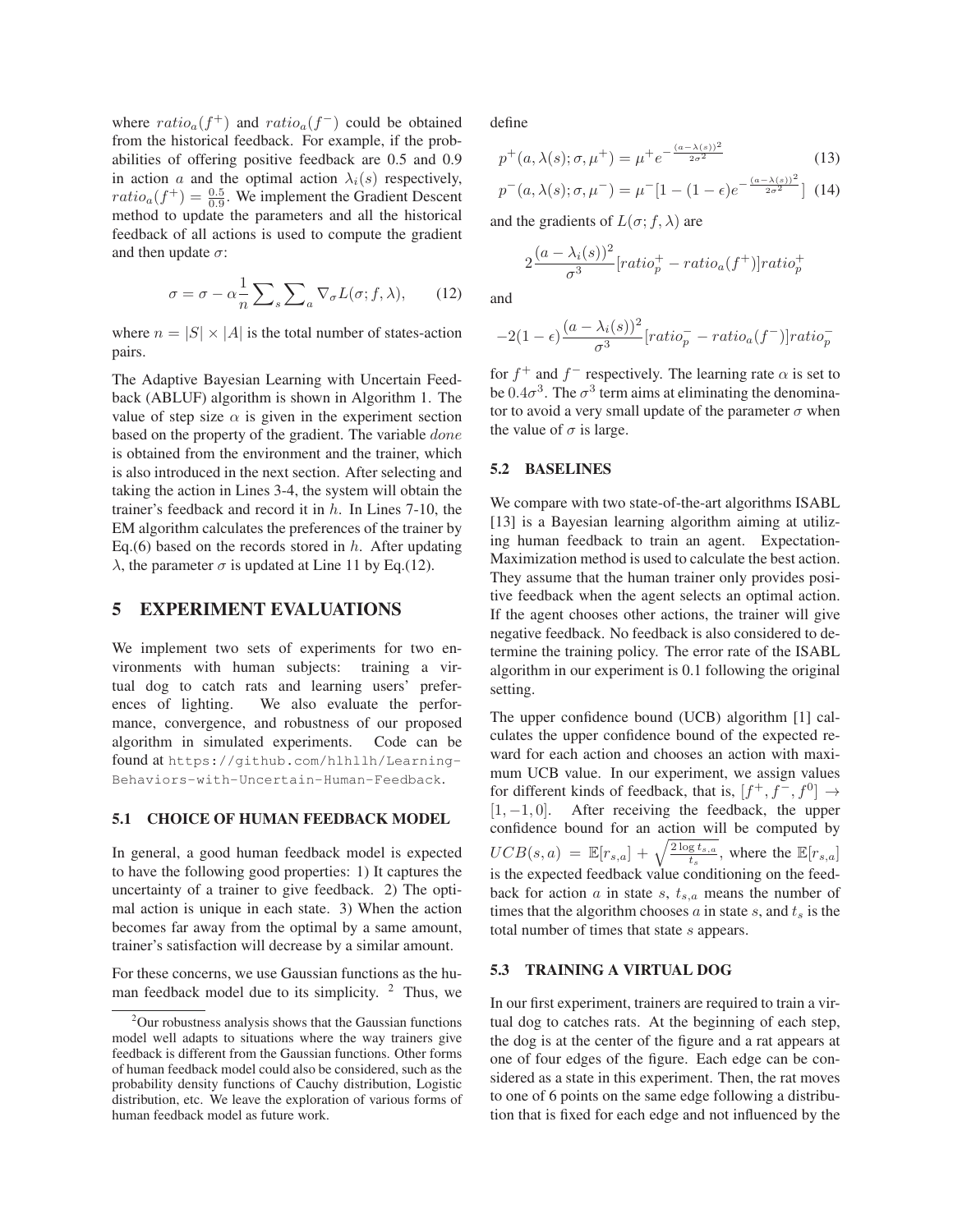where  $ratio_{a}(f^{+})$  and  $ratio_{a}(f^{-})$  could be obtained from the historical feedback. For example, if the probabilities of offering positive feedback are 0.5 and 0.9 in action a and the optimal action  $\lambda_i(s)$  respectively,  $ratio_{a}(f^{+}) = \frac{0.5}{0.9}$ . We implement the Gradient Descent method to undate the parameters and all the historical method to update the parameters and all the historical feedback of all actions is used to compute the gradient and then update  $\sigma$ :

$$
\sigma = \sigma - \alpha \frac{1}{n} \sum_{s} \sum_{a} \nabla_{\sigma} L(\sigma; f, \lambda), \qquad (12)
$$

where  $n = |S| \times |A|$  is the total number of states-action pairs.

The Adaptive Bayesian Learning with Uncertain Feedback (ABLUF) algorithm is shown in Algorithm 1. The value of step size  $\alpha$  is given in the experiment section based on the property of the gradient. The variable done is obtained from the environment and the trainer, which is also introduced in the next section. After selecting and taking the action in Lines 3-4, the system will obtain the trainer's feedback and record it in  $h$ . In Lines 7-10, the EM algorithm calculates the preferences of the trainer by Eq.(6) based on the records stored in  $h$ . After updating λ, the parameter  $\sigma$  is updated at Line 11 by Eq.(12).

# 5 EXPERIMENT EVALUATIONS

We implement two sets of experiments for two environments with human subjects: training a virtual dog to catch rats and learning users' preferences of lighting. We also evaluate the performance, convergence, and robustness of our proposed algorithm in simulated experiments. Code can be found at https://github.com/hlhllh/Learning-Behaviors-with-Uncertain-Human-Feedback.

#### 5.1 CHOICE OF HUMAN FEEDBACK MODEL

In general, a good human feedback model is expected to have the following good properties: 1) It captures the uncertainty of a trainer to give feedback. 2) The optimal action is unique in each state. 3) When the action becomes far away from the optimal by a same amount, trainer's satisfaction will decrease by a similar amount.

For these concerns, we use Gaussian functions as the human feedback model due to its simplicity.  $2$  Thus, we define

$$
p^{+}(a,\lambda(s);\sigma,\mu^{+}) = \mu^{+}e^{-\frac{(a-\lambda(s))^2}{2\sigma^2}}
$$
 (13)

$$
p^{-}(a,\lambda(s); \sigma, \mu^{-}) = \mu^{-}[1 - (1 - \epsilon)e^{-\frac{(a - \lambda(s))^2}{2\sigma^2}}] \tag{14}
$$

and the gradients of  $L(\sigma; f, \lambda)$  are

$$
2\frac{(a-\lambda_i(s))^2}{\sigma^3}[ratio_p^+-ratio_a(f^+)]ratio_p^+
$$

and

$$
-2(1-\epsilon)\frac{(a-\lambda_i(s))^2}{\sigma^3}[ratio_p^- - ratio_a(f^-)]ratio_p^-
$$

for  $f^+$  and  $f^-$  respectively. The learning rate  $\alpha$  is set to be  $0.4\sigma^3$ . The  $\sigma^3$  term aims at eliminating the denominator to avoid a very small update of the parameter  $\sigma$  when the value of  $\sigma$  is large.

#### 5.2 BASELINES

We compare with two state-of-the-art algorithms ISABL [13] is a Bayesian learning algorithm aiming at utilizing human feedback to train an agent. Expectation-Maximization method is used to calculate the best action. They assume that the human trainer only provides positive feedback when the agent selects an optimal action. If the agent chooses other actions, the trainer will give negative feedback. No feedback is also considered to determine the training policy. The error rate of the ISABL algorithm in our experiment is 0.1 following the original setting.

The upper confidence bound (UCB) algorithm [1] calculates the upper confidence bound of the expected reward for each action and chooses an action with maximum UCB value. In our experiment, we assign values for different kinds of feedback, that is,  $[f^+, f^-, f^0] \rightarrow$  $[1, -1, 0]$ . After receiving the feedback, the upper confidence bound for an action will be computed by  $UCB(s, a) = \mathbb{E}[r_{s,a}] + \sqrt{\frac{2 \log t_{s,a}}{t_s}}$ , where the  $\mathbb{E}[r_{s,a}]$  is the expected feedback value conditioning on the feedback for action  $a$  in state  $s$ ,  $t_{s,a}$  means the number of times that the algorithm chooses  $\alpha$  in state s, and  $t_s$  is the total number of times that state s appears.

#### 5.3 TRAINING A VIRTUAL DOG

In our first experiment, trainers are required to train a virtual dog to catches rats. At the beginning of each step, the dog is at the center of the figure and a rat appears at one of four edges of the figure. Each edge can be considered as a state in this experiment. Then, the rat moves to one of 6 points on the same edge following a distribution that is fixed for each edge and not influenced by the

 $2$ Our robustness analysis shows that the Gaussian functions model well adapts to situations where the way trainers give feedback is different from the Gaussian functions. Other forms of human feedback model could also be considered, such as the probability density functions of Cauchy distribution, Logistic distribution, etc. We leave the exploration of various forms of human feedback model as future work.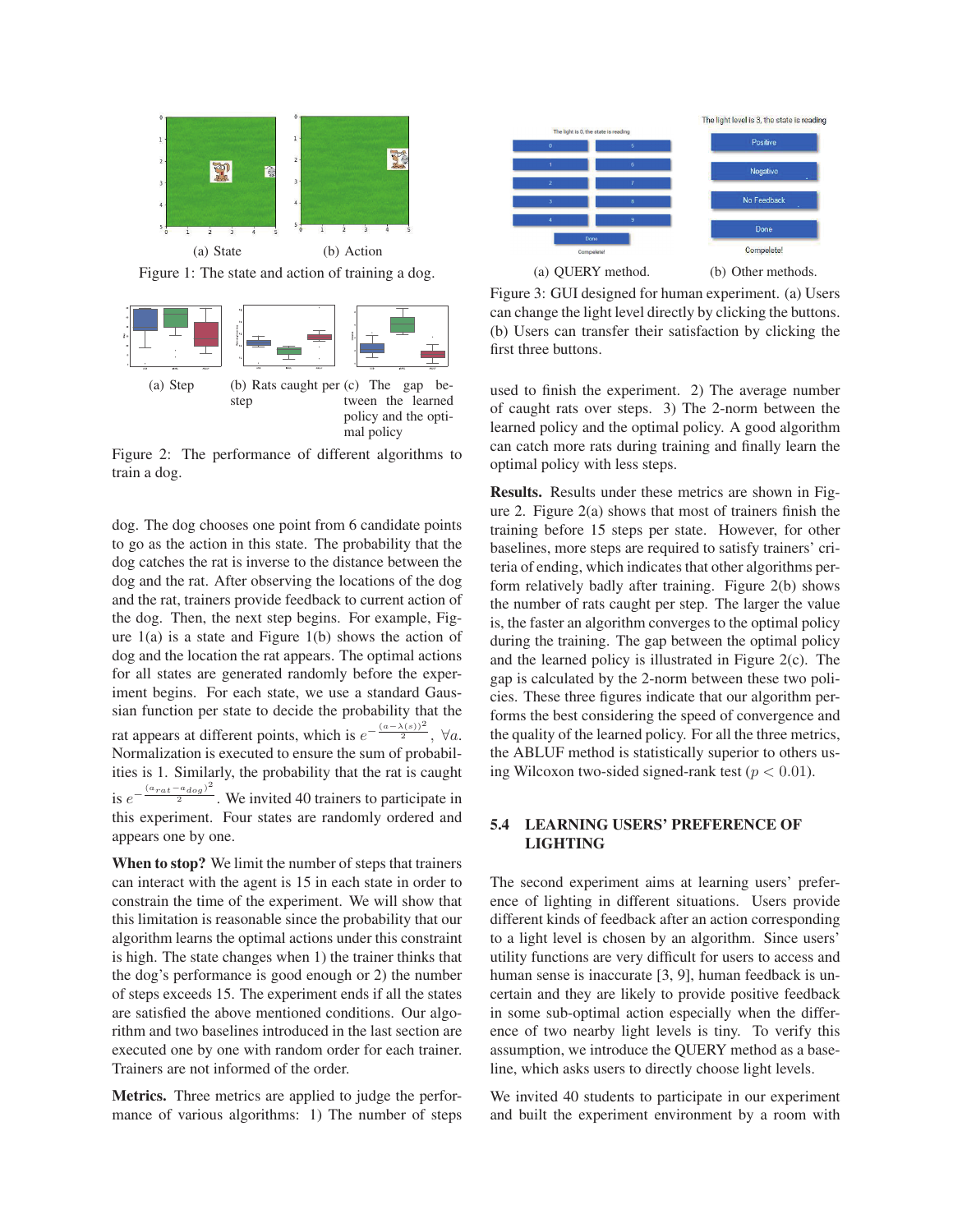

Figure 1: The state and action of training a dog.



Figure 2: The performance of different algorithms to train a dog.

dog. The dog chooses one point from 6 candidate points to go as the action in this state. The probability that the dog catches the rat is inverse to the distance between the dog and the rat. After observing the locations of the dog and the rat, trainers provide feedback to current action of the dog. Then, the next step begins. For example, Figure  $1(a)$  is a state and Figure  $1(b)$  shows the action of dog and the location the rat appears. The optimal actions for all states are generated randomly before the experiment begins. For each state, we use a standard Gaussian function per state to decide the probability that the rat appears at different points, which is  $e^{-\frac{(a-\lambda(s))^2}{2}}$ ,  $\forall a$ . Normalization is executed to ensure the sum of probabilities is 1. Similarly, the probability that the rat is caught is  $e^{-\frac{(a_{rat}-a_{dog})^2}{2}}$ . We invited 40 trainers to participate in this experiment. Four states are randomly ordered and appears one by one.

When to stop? We limit the number of steps that trainers can interact with the agent is 15 in each state in order to constrain the time of the experiment. We will show that this limitation is reasonable since the probability that our algorithm learns the optimal actions under this constraint is high. The state changes when 1) the trainer thinks that the dog's performance is good enough or 2) the number of steps exceeds 15. The experiment ends if all the states are satisfied the above mentioned conditions. Our algorithm and two baselines introduced in the last section are executed one by one with random order for each trainer. Trainers are not informed of the order.

Metrics. Three metrics are applied to judge the performance of various algorithms: 1) The number of steps



Figure 3: GUI designed for human experiment. (a) Users can change the light level directly by clicking the buttons. (b) Users can transfer their satisfaction by clicking the first three buttons.

used to finish the experiment. 2) The average number of caught rats over steps. 3) The 2-norm between the learned policy and the optimal policy. A good algorithm can catch more rats during training and finally learn the optimal policy with less steps.

Results. Results under these metrics are shown in Figure 2. Figure 2(a) shows that most of trainers finish the training before 15 steps per state. However, for other baselines, more steps are required to satisfy trainers' criteria of ending, which indicates that other algorithms perform relatively badly after training. Figure 2(b) shows the number of rats caught per step. The larger the value is, the faster an algorithm converges to the optimal policy during the training. The gap between the optimal policy and the learned policy is illustrated in Figure 2(c). The gap is calculated by the 2-norm between these two policies. These three figures indicate that our algorithm performs the best considering the speed of convergence and the quality of the learned policy. For all the three metrics, the ABLUF method is statistically superior to others using Wilcoxon two-sided signed-rank test ( $p < 0.01$ ).

### 5.4 LEARNING USERS' PREFERENCE OF LIGHTING

The second experiment aims at learning users' preference of lighting in different situations. Users provide different kinds of feedback after an action corresponding to a light level is chosen by an algorithm. Since users' utility functions are very difficult for users to access and human sense is inaccurate [3, 9], human feedback is uncertain and they are likely to provide positive feedback in some sub-optimal action especially when the difference of two nearby light levels is tiny. To verify this assumption, we introduce the QUERY method as a baseline, which asks users to directly choose light levels.

We invited 40 students to participate in our experiment and built the experiment environment by a room with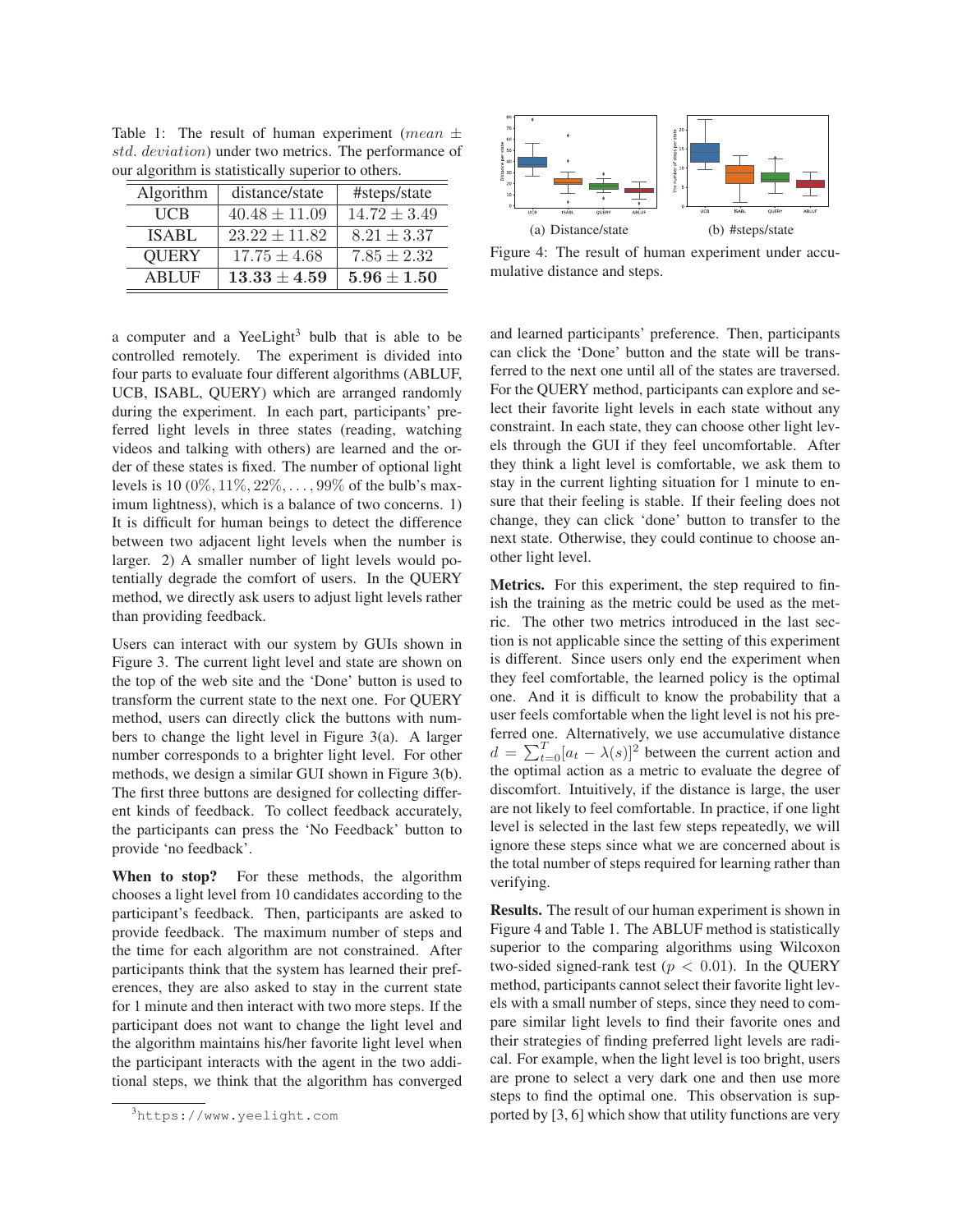| Algorithm    | distance/state    | #steps/state     |
|--------------|-------------------|------------------|
| UCB          | $40.48 \pm 11.09$ | $14.72 \pm 3.49$ |
| <b>ISABL</b> | $23.22 \pm 11.82$ | $8.21 \pm 3.37$  |
| <b>QUERY</b> | $17.75 \pm 4.68$  | $7.85 \pm 2.32$  |
| <b>ABLUF</b> | $13.33 \pm 4.59$  | $5.96\pm1.50$    |

Table 1: The result of human experiment (mean  $\pm$ std. deviation) under two metrics. The performance of our algorithm is statistically superior to others.

a computer and a YeeLight<sup>3</sup> bulb that is able to be controlled remotely. The experiment is divided into four parts to evaluate four different algorithms (ABLUF, UCB, ISABL, QUERY) which are arranged randomly during the experiment. In each part, participants' preferred light levels in three states (reading, watching videos and talking with others) are learned and the order of these states is fixed. The number of optional light levels is 10 (0%, 11%, 22%, ..., 99% of the bulb's maximum lightness), which is a balance of two concerns. 1) It is difficult for human beings to detect the difference between two adjacent light levels when the number is larger. 2) A smaller number of light levels would potentially degrade the comfort of users. In the QUERY method, we directly ask users to adjust light levels rather than providing feedback.

Users can interact with our system by GUIs shown in Figure 3. The current light level and state are shown on the top of the web site and the 'Done' button is used to transform the current state to the next one. For QUERY method, users can directly click the buttons with numbers to change the light level in Figure 3(a). A larger number corresponds to a brighter light level. For other methods, we design a similar GUI shown in Figure 3(b). The first three buttons are designed for collecting different kinds of feedback. To collect feedback accurately, the participants can press the 'No Feedback' button to provide 'no feedback'.

When to stop? For these methods, the algorithm chooses a light level from 10 candidates according to the participant's feedback. Then, participants are asked to provide feedback. The maximum number of steps and the time for each algorithm are not constrained. After participants think that the system has learned their preferences, they are also asked to stay in the current state for 1 minute and then interact with two more steps. If the participant does not want to change the light level and the algorithm maintains his/her favorite light level when the participant interacts with the agent in the two additional steps, we think that the algorithm has converged



Figure 4: The result of human experiment under accumulative distance and steps.

and learned participants' preference. Then, participants can click the 'Done' button and the state will be transferred to the next one until all of the states are traversed. For the QUERY method, participants can explore and select their favorite light levels in each state without any constraint. In each state, they can choose other light levels through the GUI if they feel uncomfortable. After they think a light level is comfortable, we ask them to stay in the current lighting situation for 1 minute to ensure that their feeling is stable. If their feeling does not change, they can click 'done' button to transfer to the next state. Otherwise, they could continue to choose another light level.

Metrics. For this experiment, the step required to finish the training as the metric could be used as the metric. The other two metrics introduced in the last section is not applicable since the setting of this experiment is different. Since users only end the experiment when they feel comfortable, the learned policy is the optimal one. And it is difficult to know the probability that a user feels comfortable when the light level is not his preferred one. Alternatively, we use accumulative distance  $d = \sum_{t=0}^{T} [a_t - \lambda(s)]^2$  between the current action and<br>the optimal action as a metric to evaluate the degree of the optimal action as a metric to evaluate the degree of discomfort. Intuitively, if the distance is large, the user are not likely to feel comfortable. In practice, if one light level is selected in the last few steps repeatedly, we will ignore these steps since what we are concerned about is the total number of steps required for learning rather than verifying.

Results. The result of our human experiment is shown in Figure 4 and Table 1. The ABLUF method is statistically superior to the comparing algorithms using Wilcoxon two-sided signed-rank test ( $p < 0.01$ ). In the QUERY method, participants cannot select their favorite light levels with a small number of steps, since they need to compare similar light levels to find their favorite ones and their strategies of finding preferred light levels are radical. For example, when the light level is too bright, users are prone to select a very dark one and then use more steps to find the optimal one. This observation is supported by [3, 6] which show that utility functions are very

<sup>3</sup> https://www.yeelight.com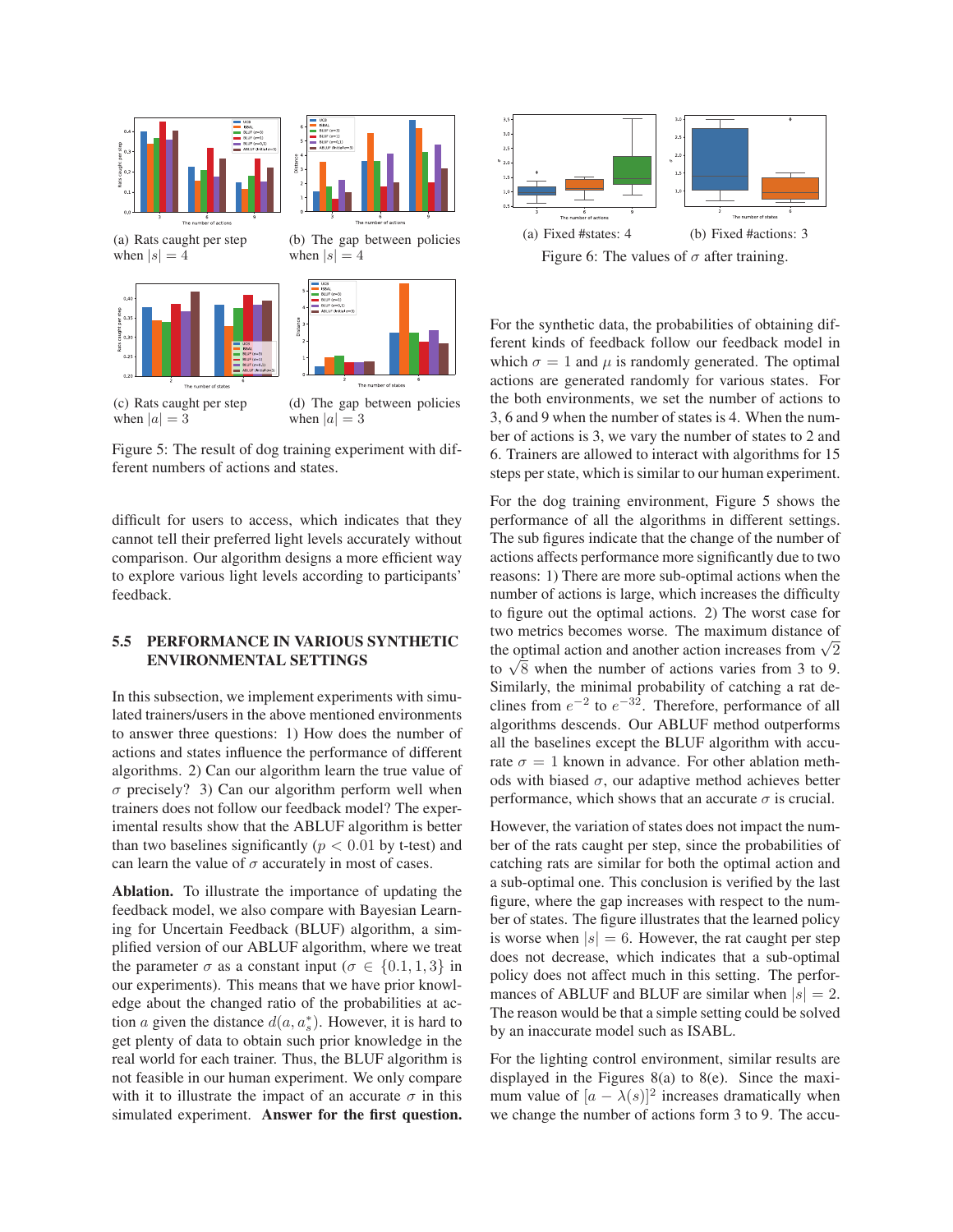

Figure 5: The result of dog training experiment with different numbers of actions and states.

difficult for users to access, which indicates that they cannot tell their preferred light levels accurately without comparison. Our algorithm designs a more efficient way to explore various light levels according to participants' feedback.

## 5.5 PERFORMANCE IN VARIOUS SYNTHETIC ENVIRONMENTAL SETTINGS

In this subsection, we implement experiments with simulated trainers/users in the above mentioned environments to answer three questions: 1) How does the number of actions and states influence the performance of different algorithms. 2) Can our algorithm learn the true value of  $\sigma$  precisely? 3) Can our algorithm perform well when trainers does not follow our feedback model? The experimental results show that the ABLUF algorithm is better than two baselines significantly ( $p < 0.01$  by t-test) and can learn the value of  $\sigma$  accurately in most of cases.

Ablation. To illustrate the importance of updating the feedback model, we also compare with Bayesian Learning for Uncertain Feedback (BLUF) algorithm, a simplified version of our ABLUF algorithm, where we treat the parameter  $\sigma$  as a constant input ( $\sigma \in \{0.1, 1, 3\}$  in our experiments). This means that we have prior knowledge about the changed ratio of the probabilities at action a given the distance  $d(a, a_s^*)$ . However, it is hard to get plenty of data to obtain such prior knowledge in the get plenty of data to obtain such prior knowledge in the real world for each trainer. Thus, the BLUF algorithm is not feasible in our human experiment. We only compare with it to illustrate the impact of an accurate  $\sigma$  in this simulated experiment. Answer for the first question.



For the synthetic data, the probabilities of obtaining different kinds of feedback follow our feedback model in which  $\sigma = 1$  and  $\mu$  is randomly generated. The optimal actions are generated randomly for various states. For the both environments, we set the number of actions to 3, 6 and 9 when the number of states is 4. When the number of actions is 3, we vary the number of states to 2 and 6. Trainers are allowed to interact with algorithms for 15 steps per state, which is similar to our human experiment.

For the dog training environment, Figure 5 shows the performance of all the algorithms in different settings. The sub figures indicate that the change of the number of actions affects performance more significantly due to two reasons: 1) There are more sub-optimal actions when the number of actions is large, which increases the difficulty to figure out the optimal actions. 2) The worst case for two metrics becomes worse. The maximum distance of the optimal action and another action increases from  $\sqrt{2}$ to  $\sqrt{8}$  when the number of actions varies from 3 to 9. Similarly, the minimal probability of catching a rat declines from  $e^{-2}$  to  $e^{-32}$ . Therefore, performance of all algorithms descends. Our ABLUF method outperforms all the baselines except the BLUF algorithm with accurate  $\sigma = 1$  known in advance. For other ablation methods with biased  $\sigma$ , our adaptive method achieves better performance, which shows that an accurate  $\sigma$  is crucial.

However, the variation of states does not impact the number of the rats caught per step, since the probabilities of catching rats are similar for both the optimal action and a sub-optimal one. This conclusion is verified by the last figure, where the gap increases with respect to the number of states. The figure illustrates that the learned policy is worse when  $|s| = 6$ . However, the rat caught per step does not decrease, which indicates that a sub-optimal policy does not affect much in this setting. The performances of ABLUF and BLUF are similar when  $|s| = 2$ . The reason would be that a simple setting could be solved by an inaccurate model such as ISABL.

For the lighting control environment, similar results are displayed in the Figures 8(a) to 8(e). Since the maximum value of  $[a - \lambda(s)]^2$  increases dramatically when we change the number of actions form 3 to 9. The accu-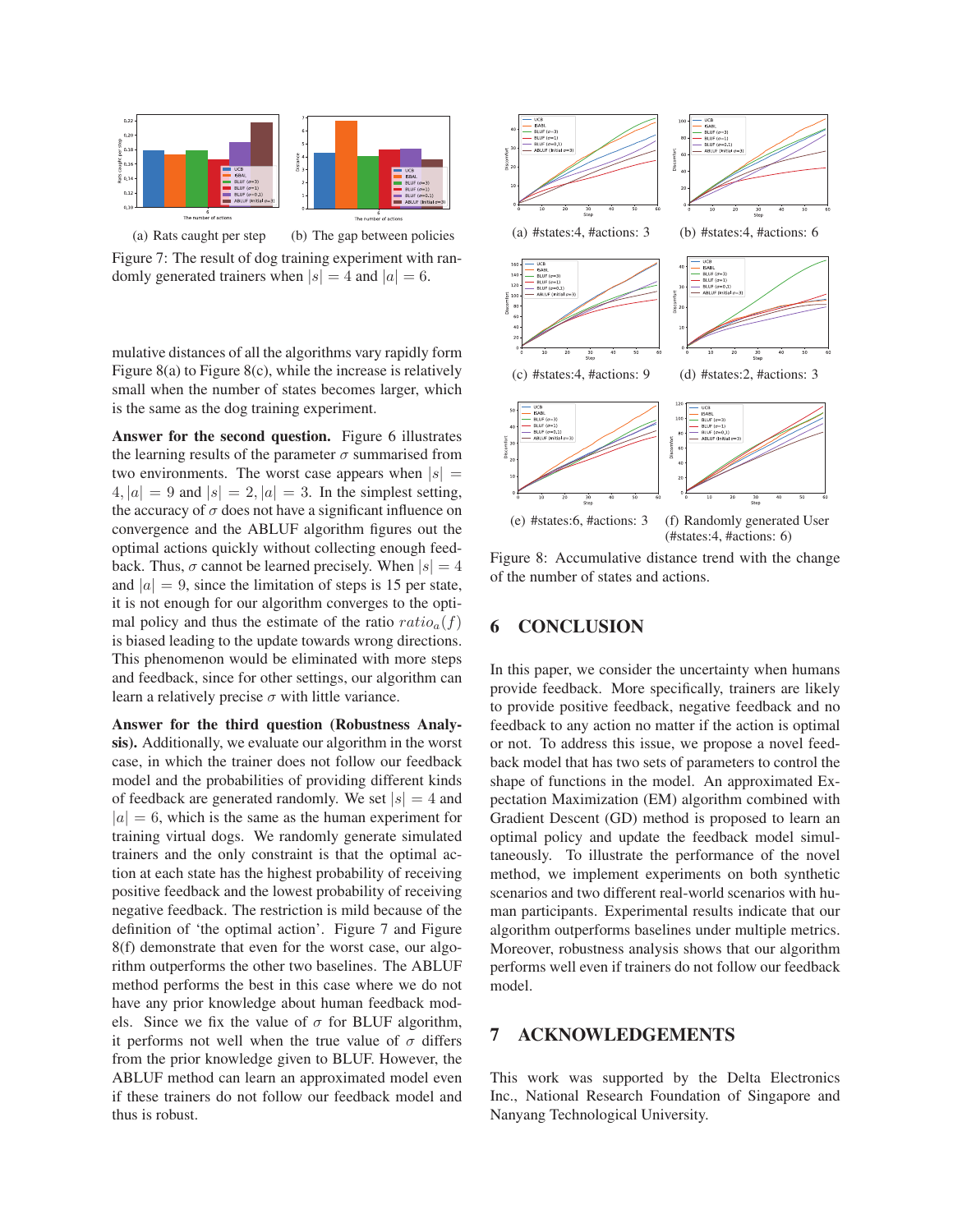

(a) Rats caught per step (b) The gap between policies Figure 7: The result of dog training experiment with randomly generated trainers when  $|s| = 4$  and  $|a| = 6$ .

mulative distances of all the algorithms vary rapidly form Figure 8(a) to Figure 8(c), while the increase is relatively small when the number of states becomes larger, which is the same as the dog training experiment.

Answer for the second question. Figure 6 illustrates the learning results of the parameter  $\sigma$  summarised from two environments. The worst case appears when  $|s| =$  $4, |a| = 9$  and  $|s| = 2, |a| = 3$ . In the simplest setting, the accuracy of  $\sigma$  does not have a significant influence on convergence and the ABLUF algorithm figures out the optimal actions quickly without collecting enough feedback. Thus,  $\sigma$  cannot be learned precisely. When  $|s| = 4$ and  $|a| = 9$ , since the limitation of steps is 15 per state, it is not enough for our algorithm converges to the optimal policy and thus the estimate of the ratio  $ratio_a(f)$ is biased leading to the update towards wrong directions. This phenomenon would be eliminated with more steps and feedback, since for other settings, our algorithm can learn a relatively precise  $\sigma$  with little variance.

Answer for the third question (Robustness Analysis). Additionally, we evaluate our algorithm in the worst case, in which the trainer does not follow our feedback model and the probabilities of providing different kinds of feedback are generated randomly. We set  $|s| = 4$  and  $|a| = 6$ , which is the same as the human experiment for training virtual dogs. We randomly generate simulated trainers and the only constraint is that the optimal action at each state has the highest probability of receiving positive feedback and the lowest probability of receiving negative feedback. The restriction is mild because of the definition of 'the optimal action'. Figure 7 and Figure 8(f) demonstrate that even for the worst case, our algorithm outperforms the other two baselines. The ABLUF method performs the best in this case where we do not have any prior knowledge about human feedback models. Since we fix the value of  $\sigma$  for BLUF algorithm, it performs not well when the true value of  $\sigma$  differs from the prior knowledge given to BLUF. However, the ABLUF method can learn an approximated model even if these trainers do not follow our feedback model and thus is robust.



Figure 8: Accumulative distance trend with the change of the number of states and actions.

# 6 CONCLUSION

In this paper, we consider the uncertainty when humans provide feedback. More specifically, trainers are likely to provide positive feedback, negative feedback and no feedback to any action no matter if the action is optimal or not. To address this issue, we propose a novel feedback model that has two sets of parameters to control the shape of functions in the model. An approximated Expectation Maximization (EM) algorithm combined with Gradient Descent (GD) method is proposed to learn an optimal policy and update the feedback model simultaneously. To illustrate the performance of the novel method, we implement experiments on both synthetic scenarios and two different real-world scenarios with human participants. Experimental results indicate that our algorithm outperforms baselines under multiple metrics. Moreover, robustness analysis shows that our algorithm performs well even if trainers do not follow our feedback model.

# 7 ACKNOWLEDGEMENTS

This work was supported by the Delta Electronics Inc., National Research Foundation of Singapore and Nanyang Technological University.